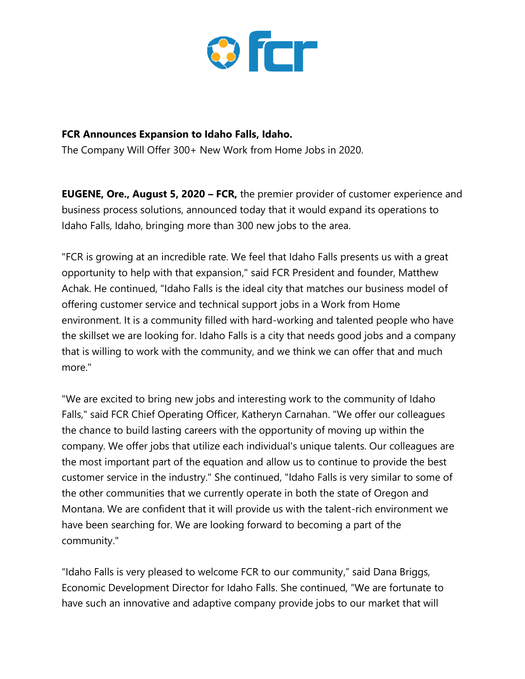

## **FCR Announces Expansion to Idaho Falls, Idaho.**

The Company Will Offer 300+ New Work from Home Jobs in 2020.

**EUGENE, Ore., August 5, 2020 – FCR,** the premier provider of customer experience and business process solutions, announced today that it would expand its operations to Idaho Falls, Idaho, bringing more than 300 new jobs to the area.

"FCR is growing at an incredible rate. We feel that Idaho Falls presents us with a great opportunity to help with that expansion," said FCR President and founder, Matthew Achak. He continued, "Idaho Falls is the ideal city that matches our business model of offering customer service and technical support jobs in a Work from Home environment. It is a community filled with hard-working and talented people who have the skillset we are looking for. Idaho Falls is a city that needs good jobs and a company that is willing to work with the community, and we think we can offer that and much more."

"We are excited to bring new jobs and interesting work to the community of Idaho Falls," said FCR Chief Operating Officer, Katheryn Carnahan. "We offer our colleagues the chance to build lasting careers with the opportunity of moving up within the company. We offer jobs that utilize each individual's unique talents. Our colleagues are the most important part of the equation and allow us to continue to provide the best customer service in the industry." She continued, "Idaho Falls is very similar to some of the other communities that we currently operate in both the state of Oregon and Montana. We are confident that it will provide us with the talent-rich environment we have been searching for. We are looking forward to becoming a part of the community."

"Idaho Falls is very pleased to welcome FCR to our community," said Dana Briggs, Economic Development Director for Idaho Falls. She continued, "We are fortunate to have such an innovative and adaptive company provide jobs to our market that will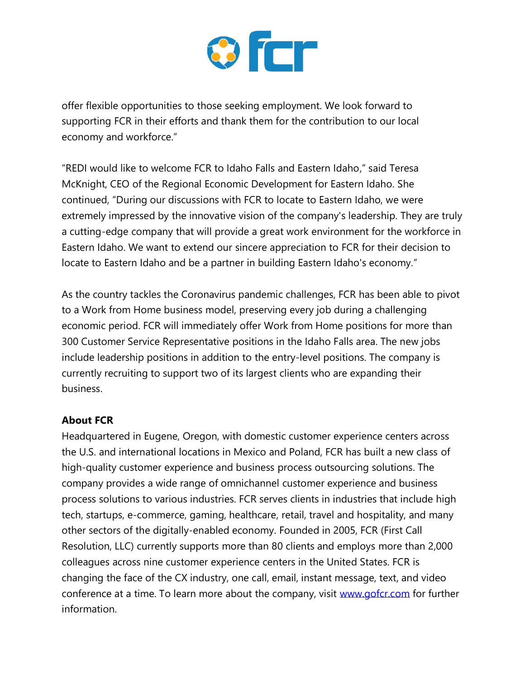

offer flexible opportunities to those seeking employment. We look forward to supporting FCR in their efforts and thank them for the contribution to our local economy and workforce."

"REDI would like to welcome FCR to Idaho Falls and Eastern Idaho," said Teresa McKnight, CEO of the Regional Economic Development for Eastern Idaho. She continued, "During our discussions with FCR to locate to Eastern Idaho, we were extremely impressed by the innovative vision of the company's leadership. They are truly a cutting-edge company that will provide a great work environment for the workforce in Eastern Idaho. We want to extend our sincere appreciation to FCR for their decision to locate to Eastern Idaho and be a partner in building Eastern Idaho's economy."

As the country tackles the Coronavirus pandemic challenges, FCR has been able to pivot to a Work from Home business model, preserving every job during a challenging economic period. FCR will immediately offer Work from Home positions for more than 300 Customer Service Representative positions in the Idaho Falls area. The new jobs include leadership positions in addition to the entry-level positions. The company is currently recruiting to support two of its largest clients who are expanding their business.

## **About FCR**

Headquartered in Eugene, Oregon, with domestic customer experience centers across the U.S. and international locations in Mexico and Poland, FCR has built a new class of high-quality customer experience and business process outsourcing solutions. The company provides a wide range of omnichannel customer experience and business process solutions to various industries. FCR serves clients in industries that include high tech, startups, e-commerce, gaming, healthcare, retail, travel and hospitality, and many other sectors of the digitally-enabled economy. Founded in 2005, FCR (First Call Resolution, LLC) currently supports more than 80 clients and employs more than 2,000 colleagues across nine customer experience centers in the United States. FCR is changing the face of the CX industry, one call, email, instant message, text, and video conference at a time. To learn more about the company, visit [www.gofcr.com](http://www.gofcr.com/) for further information.